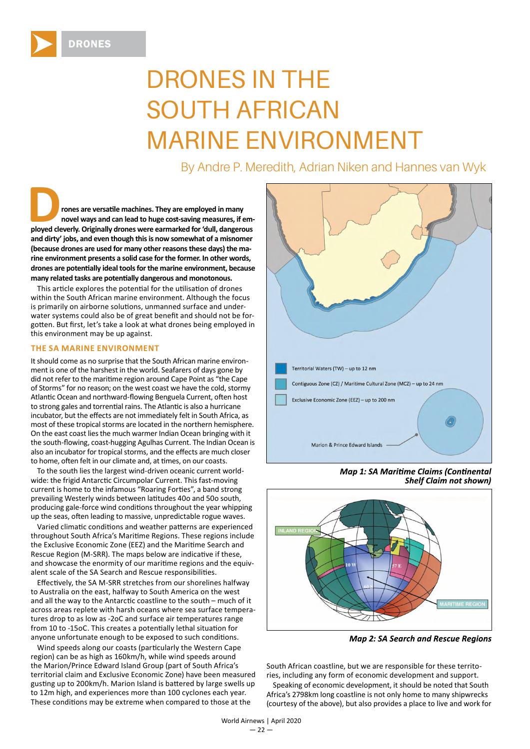

## DRONES IN THE SOUTH AFRICAN MARINE ENVIRONMENT

By Andre P. Meredith, Adrian Niken and Hannes van Wyk

**Ployed in many**<br> **ployed cleverly. Originally drones were earmarked for 'dull, dangerous <br>
ployed cleverly. Originally drones were earmarked for 'dull, dangerous novel ways and can lead to huge cost-saving measures, if emand dirty' jobs, and even though this is now somewhat of a misnomer (because drones are used for many other reasons these days) the marine environment presents a solid case for the former. In other words,**  drones are potentially ideal tools for the marine environment, because many related tasks are potentially dangerous and monotonous.

This article explores the potential for the utilisation of drones within the South African marine environment. Although the focus is primarily on airborne solutions, unmanned surface and underwater systems could also be of great benefit and should not be forgotten. But first, let's take a look at what drones being employed in this environment may be up against.

## **THE SA MARINE ENVIRONMENT**

It should come as no surprise that the South African marine environment is one of the harshest in the world. Seafarers of days gone by did not refer to the maritime region around Cape Point as "the Cape of Storms" for no reason; on the west coast we have the cold, stormy Atlantic Ocean and northward-flowing Benguela Current, often host to strong gales and torrential rains. The Atlantic is also a hurricane incubator, but the effects are not immediately felt in South Africa, as most of these tropical storms are located in the northern hemisphere. On the east coast lies the much warmer Indian Ocean bringing with it the south-flowing, coast-hugging Agulhas Current. The Indian Ocean is also an incubator for tropical storms, and the effects are much closer to home, often felt in our climate and, at times, on our coasts.

To the south lies the largest wind-driven oceanic current worldwide: the frigid Antarctic Circumpolar Current. This fast-moving current is home to the infamous "Roaring Forties", a band strong prevailing Westerly winds between latitudes 40o and 50o south, producing gale-force wind conditions throughout the year whipping up the seas, often leading to massive, unpredictable rogue waves.

Varied climatic conditions and weather patterns are experienced throughout South Africa's Maritime Regions. These regions include the Exclusive Economic Zone (EEZ) and the Maritime Search and Rescue Region (M-SRR). The maps below are indicative if these, and showcase the enormity of our maritime regions and the equivalent scale of the SA Search and Rescue responsibilities.

Effectively, the SA M-SRR stretches from our shorelines halfway to Australia on the east, halfway to South America on the west and all the way to the Antarctic coastline to the south  $-$  much of it across areas replete with harsh oceans where sea surface temperatures drop to as low as -2oC and surface air temperatures range from 10 to -15oC. This creates a potentially lethal situation for anyone unfortunate enough to be exposed to such conditions.

Wind speeds along our coasts (particularly the Western Cape region) can be as high as 160km/h, while wind speeds around the Marion/Prince Edward Island Group (part of South Africa's territorial claim and Exclusive Economic Zone) have been measured gusting up to 200km/h. Marion Island is battered by large swells up to 12m high, and experiences more than 100 cyclones each year. These conditions may be extreme when compared to those at the



**Map 1: SA Maritime Claims (Continental Shelf Claim not shown)** 



**Map 2: SA Search and Rescue Regions** 

South African coastline, but we are responsible for these territories, including any form of economic development and support.

Speaking of economic development, it should be noted that South Africa's 2798km long coastline is not only home to many shipwrecks (courtesy of the above), but also provides a place to live and work for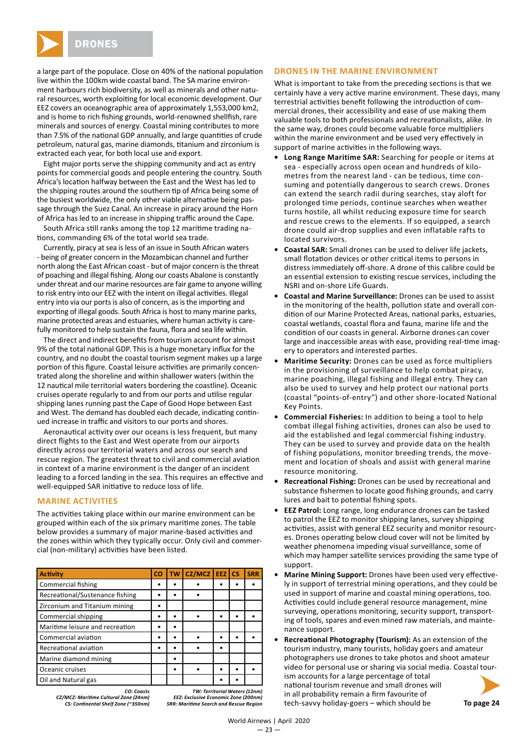

a large part of the populace. Close on 40% of the national population live within the 100km wide coastal band. The SA marine environment harbours rich biodiversity, as well as minerals and other natural resources, worth exploiting for local economic development. Our EEZ covers an oceanographic area of approximately 1,553,000 km2, and is home to rich fishing grounds, world-renowned shellfish, rare minerals and sources of energy. Coastal mining contributes to more than 7.5% of the national GDP annually, and large quantities of crude petroleum, natural gas, marine diamonds, titanium and zirconium is extracted each year, for both local use and export.

Eight major ports serve the shipping community and act as entry points for commercial goods and people entering the country. South Africa's location halfway between the East and the West has led to the shipping routes around the southern tip of Africa being some of the busiest worldwide, the only other viable alternative being passage through the Suez Canal. An increase in piracy around the Horn of Africa has led to an increase in shipping traffic around the Cape.

South Africa still ranks among the top 12 maritime trading nations, commanding 6% of the total world sea trade.

Currently, piracy at sea is less of an issue in South African waters - being of greater concern in the Mozambican channel and further north along the East African coast - but of major concern is the threat of poaching and illegal fishing. Along our coasts Abalone is constantly under threat and our marine resources are fair game to anyone willing to risk entry into our EEZ with the intent on illegal activities. Illegal entry into via our ports is also of concern, as is the importing and exporting of illegal goods. South Africa is host to many marine parks, marine protected areas and estuaries, where human activity is carefully monitored to help sustain the fauna, flora and sea life within.

The direct and indirect benefits from tourism account for almost 9% of the total national GDP. This is a huge monetary influx for the country, and no doubt the coastal tourism segment makes up a large portion of this figure. Coastal leisure activities are primarily concentrated along the shoreline and within shallower waters (within the 12 nautical mile territorial waters bordering the coastline). Oceanic cruises operate regularly to and from our ports and utilise regular shipping lanes running past the Cape of Good Hope between East and West. The demand has doubled each decade, indicating continued increase in traffic and visitors to our ports and shores.

Aeronautical activity over our oceans is less frequent, but many direct flights to the East and West operate from our airports directly across our territorial waters and across our search and rescue region. The greatest threat to civil and commercial aviation in context of a marine environment is the danger of an incident leading to a forced landing in the sea. This requires an effective and well-equipped SAR initiative to reduce loss of life.

## **MARINE ACTIVITIES**

The activities taking place within our marine environment can be grouped within each of the six primary maritime zones. The table below provides a summary of major marine-based activities and the zones within which they typically occur. Only civil and commercial (non-military) activities have been listed.

| <b>Activity</b>                                     | <b>CO</b> | <b>TW</b> | $CZ/MCZ$   EEZ   CS |  | <b>SRR</b> |
|-----------------------------------------------------|-----------|-----------|---------------------|--|------------|
| <b>Commercial fishing</b>                           |           |           |                     |  |            |
| Recreational/Sustenance fishing                     |           |           |                     |  |            |
| Zirconium and Titanium mining                       |           |           |                     |  |            |
| Commercial shipping                                 |           |           |                     |  |            |
| Maritime leisure and recreation                     |           |           |                     |  |            |
| Commercial aviation                                 |           |           |                     |  |            |
| Recreational aviation                               |           |           |                     |  |            |
| Marine diamond mining                               |           |           |                     |  |            |
| Oceanic cruises                                     |           |           |                     |  |            |
| Oil and Natural gas                                 |           |           |                     |  |            |
| TW: Territorial Waters (12nm)<br><b>CO</b> : Coasts |           |           |                     |  |            |

*CZ/MCZ: Mariti me Cultural Zone (24nm) EEZ: Exclusive Economic Zone (200nm)*

*CS: Conti nental Shelf Zone (~350nm) SRR: Mariti me Search and Rescue Region*

## **DRONES IN THE MARINE ENVIRONMENT**

What is important to take from the preceding sections is that we certainly have a very active marine environment. These days, many terrestrial activities benefit following the introduction of commercial drones, their accessibility and ease of use making them valuable tools to both professionals and recreationalists, alike. In the same way, drones could become valuable force multipliers within the marine environment and be used very effectively in support of marine activities in the following ways.

- **• Long Range Maritime SAR:** Searching for people or items at sea - especially across open ocean and hundreds of kilometres from the nearest land - can be tedious, time consuming and potentially dangerous to search crews. Drones can extend the search radii during searches, stay aloft for prolonged time periods, continue searches when weather turns hostile, all whilst reducing exposure time for search and rescue crews to the elements. If so equipped, a search drone could air-drop supplies and even inflatable rafts to located survivors.
- **• Coastal SAR:** Small drones can be used to deliver life jackets, small flotation devices or other critical items to persons in distress immediately off -shore. A drone of this calibre could be an essential extension to existing rescue services, including the NSRI and on-shore Life Guards.
- **• Coastal and Marine Surveillance:** Drones can be used to assist in the monitoring of the health, pollution state and overall condition of our Marine Protected Areas, national parks, estuaries, coastal wetlands, coastal flora and fauna, marine life and the condition of our coasts in general. Airborne drones can cover large and inaccessible areas with ease, providing real-time imagery to operators and interested parties.
- **• Maritime Security:** Drones can be used as force multipliers in the provisioning of surveillance to help combat piracy, marine poaching, illegal fishing and illegal entry. They can also be used to survey and help protect our national ports (coastal "points-of-entry") and other shore-located National Key Points.
- **• Commercial Fisheries:** In addition to being a tool to help combat illegal fishing activities, drones can also be used to aid the established and legal commercial fishing industry. They can be used to survey and provide data on the health of fishing populations, monitor breeding trends, the movement and location of shoals and assist with general marine resource monitoring.
- **Recreational Fishing:** Drones can be used by recreational and substance fishermen to locate good fishing grounds, and carry lures and bait to potential fishing spots.
- **• EEZ Patrol:** Long range, long endurance drones can be tasked to patrol the EEZ to monitor shipping lanes, survey shipping activities, assist with general EEZ security and monitor resources. Drones operating below cloud cover will not be limited by weather phenomena impeding visual surveillance, some of which may hamper satellite services providing the same type of support.
- **Marine Mining Support:** Drones have been used very effectively in support of terrestrial mining operations, and they could be used in support of marine and coastal mining operations, too. Activities could include general resource management, mine surveying, operations monitoring, security support, transporting of tools, spares and even mined raw materials, and maintenance support.
- **Recreational Photography (Tourism):** As an extension of the tourism industry, many tourists, holiday goers and amateur photographers use drones to take photos and shoot amateur video for personal use or sharing via social media. Coastal tourism accounts for a large percentage of total national tourism revenue and small drones will in all probability remain a firm favourite of tech-savvy holiday-goers – which should be